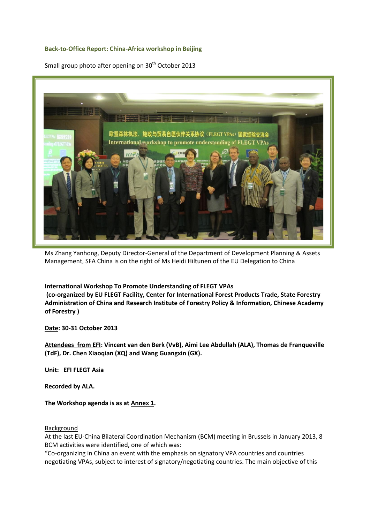### **Back-to-Office Report: China-Africa workshop in Beijing**

Small group photo after opening on 30<sup>th</sup> October 2013



Ms Zhang Yanhong, Deputy Director-General of the Department of Development Planning & Assets Management, SFA China is on the right of Ms Heidi Hiltunen of the EU Delegation to China

#### **International Workshop To Promote Understanding of FLEGT VPAs**

**(co-organized by EU FLEGT Facility, Center for International Forest Products Trade, State Forestry Administration of China and Research Institute of Forestry Policy & Information, Chinese Academy of Forestry )**

**Date: 30-31 October 2013**

**Attendees from EFI: Vincent van den Berk (VvB), Aimi Lee Abdullah (ALA), Thomas de Franqueville (TdF), Dr. Chen Xiaoqian (XQ) and Wang Guangxin (GX).**

**Unit: EFI FLEGT Asia**

**Recorded by ALA.**

**The Workshop agenda is as at Annex 1.**

#### Background

At the last EU-China Bilateral Coordination Mechanism (BCM) meeting in Brussels in January 2013, 8 BCM activities were identified, one of which was:

"Co-organizing in China an event with the emphasis on signatory VPA countries and countries negotiating VPAs, subject to interest of signatory/negotiating countries. The main objective of this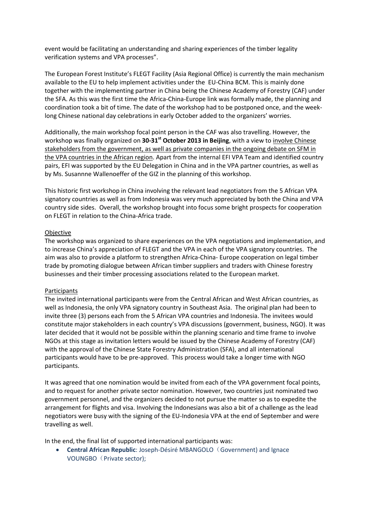event would be facilitating an understanding and sharing experiences of the timber legality verification systems and VPA processes".

The European Forest Institute's FLEGT Facility (Asia Regional Office) is currently the main mechanism available to the EU to help implement activities under the EU-China BCM. This is mainly done together with the implementing partner in China being the Chinese Academy of Forestry (CAF) under the SFA. As this was the first time the Africa-China-Europe link was formally made, the planning and coordination took a bit of time. The date of the workshop had to be postponed once, and the weeklong Chinese national day celebrations in early October added to the organizers' worries.

Additionally, the main workshop focal point person in the CAF was also travelling. However, the workshop was finally organized on **30-31st October 2013 in Beijing**, with a view to involve Chinese stakeholders from the government, as well as private companies in the ongoing debate on SFM in the VPA countries in the African region. Apart from the internal EFI VPA Team and identified country pairs, EFI was supported by the EU Delegation in China and in the VPA partner countries, as well as by Ms. Susannne Wallenoeffer of the GIZ in the planning of this workshop.

This historic first workshop in China involving the relevant lead negotiators from the 5 African VPA signatory countries as well as from Indonesia was very much appreciated by both the China and VPA country side sides. Overall, the workshop brought into focus some bright prospects for cooperation on FLEGT in relation to the China-Africa trade.

### **Objective**

The workshop was organized to share experiences on the VPA negotiations and implementation, and to increase China's appreciation of FLEGT and the VPA in each of the VPA signatory countries. The aim was also to provide a platform to strengthen Africa-China- Europe cooperation on legal timber trade by promoting dialogue between African timber suppliers and traders with Chinese forestry businesses and their timber processing associations related to the European market.

#### **Participants**

The invited international participants were from the Central African and West African countries, as well as Indonesia, the only VPA signatory country in Southeast Asia. The original plan had been to invite three (3) persons each from the 5 African VPA countries and Indonesia. The invitees would constitute major stakeholders in each country's VPA discussions (government, business, NGO). It was later decided that it would not be possible within the planning scenario and time frame to involve NGOs at this stage as invitation letters would be issued by the Chinese Academy of Forestry (CAF) with the approval of the Chinese State Forestry Administration (SFA), and all international participants would have to be pre-approved. This process would take a longer time with NGO participants.

It was agreed that one nomination would be invited from each of the VPA government focal points, and to request for another private sector nomination. However, two countries just nominated two government personnel, and the organizers decided to not pursue the matter so as to expedite the arrangement for flights and visa. Involving the Indonesians was also a bit of a challenge as the lead negotiators were busy with the signing of the EU-Indonesia VPA at the end of September and were travelling as well.

In the end, the final list of supported international participants was:

**Central African Republic**: Joseph-Désiré MBANGOLO (Government) and Ignace VOUNGBO (Private sector);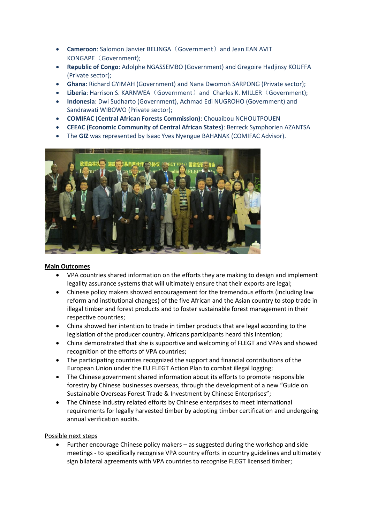- **Cameroon**: Salomon Janvier BELINGA (Government) and Jean EAN AVIT KONGAPE (Government);
- **Republic of Congo**: Adolphe NGASSEMBO (Government) and Gregoire Hadjinsy KOUFFA (Private sector);
- **Ghana**: Richard GYIMAH (Government) and Nana Dwomoh SARPONG (Private sector);
- **.** Liberia: Harrison S. KARNWEA (Government) and Charles K. MILLER (Government);
- **Indonesia**: Dwi Sudharto (Government), Achmad Edi NUGROHO (Government) and Sandrawati WIBOWO (Private sector);
- **COMIFAC (Central African Forests Commission)**: Chouaibou NCHOUTPOUEN
- **CEEAC (Economic Community of Central African States)**: Berreck Symphorien AZANTSA
- The **GIZ** was represented by Isaac Yves Nyengue BAHANAK (COMIFAC Advisor).



## **Main Outcomes**

- VPA countries shared information on the efforts they are making to design and implement legality assurance systems that will ultimately ensure that their exports are legal;
- Chinese policy makers showed encouragement for the tremendous efforts (including law reform and institutional changes) of the five African and the Asian country to stop trade in illegal timber and forest products and to foster sustainable forest management in their respective countries;
- China showed her intention to trade in timber products that are legal according to the legislation of the producer country. Africans participants heard this intention;
- China demonstrated that she is supportive and welcoming of FLEGT and VPAs and showed recognition of the efforts of VPA countries;
- The participating countries recognized the support and financial contributions of the European Union under the EU FLEGT Action Plan to combat illegal logging;
- The Chinese government shared information about its efforts to promote responsible forestry by Chinese businesses overseas, through the development of a new "Guide on Sustainable Overseas Forest Trade & Investment by Chinese Enterprises";
- The Chinese industry related efforts by Chinese enterprises to meet international requirements for legally harvested timber by adopting timber certification and undergoing annual verification audits.

## Possible next steps

 Further encourage Chinese policy makers – as suggested during the workshop and side meetings - to specifically recognise VPA country efforts in country guidelines and ultimately sign bilateral agreements with VPA countries to recognise FLEGT licensed timber;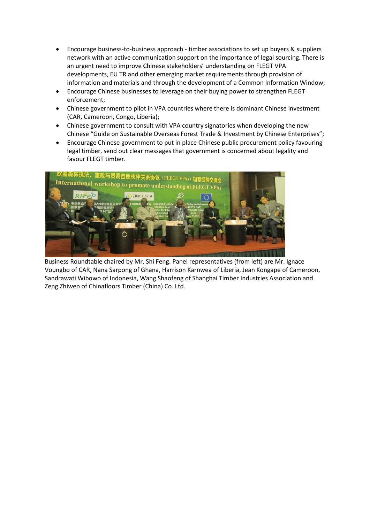- Encourage business-to-business approach timber associations to set up buyers & suppliers network with an active communication support on the importance of legal sourcing. There is an urgent need to improve Chinese stakeholders' understanding on FLEGT VPA developments, EU TR and other emerging market requirements through provision of information and materials and through the development of a Common Information Window;
- Encourage Chinese businesses to leverage on their buying power to strengthen FLEGT enforcement;
- Chinese government to pilot in VPA countries where there is dominant Chinese investment (CAR, Cameroon, Congo, Liberia);
- Chinese government to consult with VPA country signatories when developing the new Chinese "Guide on Sustainable Overseas Forest Trade & Investment by Chinese Enterprises";
- Encourage Chinese government to put in place Chinese public procurement policy favouring legal timber, send out clear messages that government is concerned about legality and favour FLEGT timber.



Business Roundtable chaired by Mr. Shi Feng. Panel representatives (from left) are Mr. Ignace Voungbo of CAR, Nana Sarpong of Ghana, Harrison Karnwea of Liberia, Jean Kongape of Cameroon, Sandrawati Wibowo of Indonesia, Wang Shaofeng of Shanghai Timber Industries Association and Zeng Zhiwen of Chinafloors Timber (China) Co. Ltd.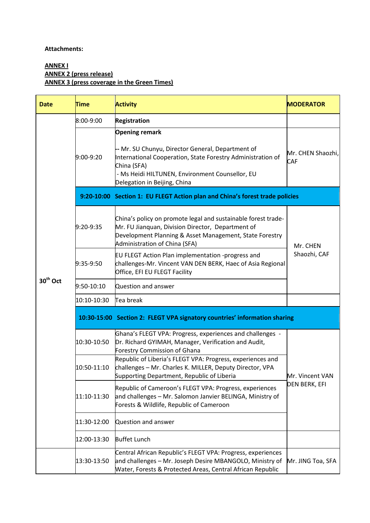### **Attachments:**

# **ANNEX I ANNEX 2 (press release) ANNEX 3 (press coverage in the Green Times)**

| <b>Date</b>          | <b>Time</b>                                                               | <b>Activity</b>                                                                                                                                                                                                                             | <b>MODERATOR</b>                 |  |  |
|----------------------|---------------------------------------------------------------------------|---------------------------------------------------------------------------------------------------------------------------------------------------------------------------------------------------------------------------------------------|----------------------------------|--|--|
| 30 <sup>th</sup> Oct | 8:00-9:00                                                                 | <b>Registration</b>                                                                                                                                                                                                                         |                                  |  |  |
|                      | 9:00-9:20                                                                 | <b>Opening remark</b><br>-- Mr. SU Chunyu, Director General, Department of<br>International Cooperation, State Forestry Administration of<br>China (SFA)<br>- Ms Heidi HILTUNEN, Environment Counsellor, EU<br>Delegation in Beijing, China | Mr. CHEN Shaozhi,<br><b>CAF</b>  |  |  |
|                      |                                                                           | 9:20-10:00 Section 1: EU FLEGT Action plan and China's forest trade policies                                                                                                                                                                |                                  |  |  |
|                      | 9:20-9:35                                                                 | China's policy on promote legal and sustainable forest trade-<br>Mr. FU Jianquan, Division Director, Department of<br>Development Planning & Asset Management, State Forestry<br>Administration of China (SFA)                              | Mr. CHEN<br>Shaozhi, CAF         |  |  |
|                      | 9:35-9:50                                                                 | EU FLEGT Action Plan implementation -progress and<br>challenges-Mr. Vincent VAN DEN BERK, Haec of Asia Regional<br>Office, EFI EU FLEGT Facility                                                                                            |                                  |  |  |
|                      | 9:50-10:10                                                                | Question and answer                                                                                                                                                                                                                         |                                  |  |  |
|                      | 10:10-10:30                                                               | Tea break                                                                                                                                                                                                                                   |                                  |  |  |
|                      | 10:30-15:00 Section 2: FLEGT VPA signatory countries' information sharing |                                                                                                                                                                                                                                             |                                  |  |  |
|                      | 10:30-10:50                                                               | Ghana's FLEGT VPA: Progress, experiences and challenges -<br>Dr. Richard GYIMAH, Manager, Verification and Audit,<br><b>Forestry Commission of Ghana</b>                                                                                    | Mr. Vincent VAN<br>DEN BERK, EFI |  |  |
|                      | 10:50-11:10                                                               | Republic of Liberia's FLEGT VPA: Progress, experiences and<br>challenges - Mr. Charles K. MILLER, Deputy Director, VPA<br>Supporting Department, Republic of Liberia                                                                        |                                  |  |  |
|                      | 11:10-11:30                                                               | Republic of Cameroon's FLEGT VPA: Progress, experiences<br>and challenges - Mr. Salomon Janvier BELINGA, Ministry of<br>Forests & Wildlife, Republic of Cameroon                                                                            |                                  |  |  |
|                      | 11:30-12:00                                                               | Question and answer                                                                                                                                                                                                                         |                                  |  |  |
|                      | 12:00-13:30                                                               | <b>Buffet Lunch</b>                                                                                                                                                                                                                         |                                  |  |  |
|                      | 13:30-13:50                                                               | Central African Republic's FLEGT VPA: Progress, experiences<br>and challenges - Mr. Joseph Desire MBANGOLO, Ministry of<br>Water, Forests & Protected Areas, Central African Republic                                                       | Mr. JING Toa, SFA                |  |  |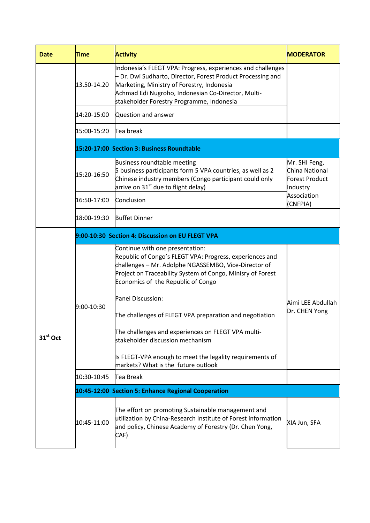| <b>Date</b>          | <b>Time</b>                                      | <b>Activity</b>                                                                                                                                                                                                                                                             | <b>IMODERATOR</b>                                                    |  |  |
|----------------------|--------------------------------------------------|-----------------------------------------------------------------------------------------------------------------------------------------------------------------------------------------------------------------------------------------------------------------------------|----------------------------------------------------------------------|--|--|
|                      | 13.50-14.20                                      | Indonesia's FLEGT VPA: Progress, experiences and challenges<br>- Dr. Dwi Sudharto, Director, Forest Product Processing and<br>Marketing, Ministry of Forestry, Indonesia<br>Achmad Edi Nugroho, Indonesian Co-Director, Multi-<br>stakeholder Forestry Programme, Indonesia |                                                                      |  |  |
|                      | 14:20-15:00                                      | Question and answer                                                                                                                                                                                                                                                         |                                                                      |  |  |
|                      | 15:00-15:20                                      | Tea break                                                                                                                                                                                                                                                                   |                                                                      |  |  |
|                      |                                                  | 15:20-17:00 Section 3: Business Roundtable                                                                                                                                                                                                                                  |                                                                      |  |  |
|                      | 15:20-16:50                                      | Business roundtable meeting<br>5 business participants form 5 VPA countries, as well as 2<br>Chinese industry members (Congo participant could only<br>arrive on $31st$ due to flight delay)                                                                                | Mr. SHI Feng,<br>China National<br><b>Forest Product</b><br>Industry |  |  |
|                      | 16:50-17:00                                      | Conclusion                                                                                                                                                                                                                                                                  | Association<br>(CNFPIA)                                              |  |  |
|                      | 18:00-19:30                                      | <b>Buffet Dinner</b>                                                                                                                                                                                                                                                        |                                                                      |  |  |
|                      | 9:00-10:30 Section 4: Discussion on EU FLEGT VPA |                                                                                                                                                                                                                                                                             |                                                                      |  |  |
| 31 <sup>st</sup> Oct | 9:00-10:30                                       | Continue with one presentation:<br>Republic of Congo's FLEGT VPA: Progress, experiences and<br>challenges - Mr. Adolphe NGASSEMBO, Vice-Director of<br>Project on Traceability System of Congo, Minisry of Forest<br>Economics of the Republic of Congo                     |                                                                      |  |  |
|                      |                                                  | Panel Discussion:<br>The challenges of FLEGT VPA preparation and negotiation                                                                                                                                                                                                | Aimi LEE Abdullah<br>Dr. CHEN Yong                                   |  |  |
|                      |                                                  | The challenges and experiences on FLEGT VPA multi-<br>stakeholder discussion mechanism                                                                                                                                                                                      |                                                                      |  |  |
|                      |                                                  | Is FLEGT-VPA enough to meet the legality requirements of<br>markets? What is the future outlook                                                                                                                                                                             |                                                                      |  |  |
|                      | 10:30-10:45                                      | Tea Break                                                                                                                                                                                                                                                                   |                                                                      |  |  |
|                      |                                                  | 10:45-12:00 Section 5: Enhance Regional Cooperation                                                                                                                                                                                                                         |                                                                      |  |  |
|                      | 10:45-11:00                                      | The effort on promoting Sustainable management and<br>utilization by China-Research Institute of Forest information<br>and policy, Chinese Academy of Forestry (Dr. Chen Yong,<br>CAF)                                                                                      | XIA Jun, SFA                                                         |  |  |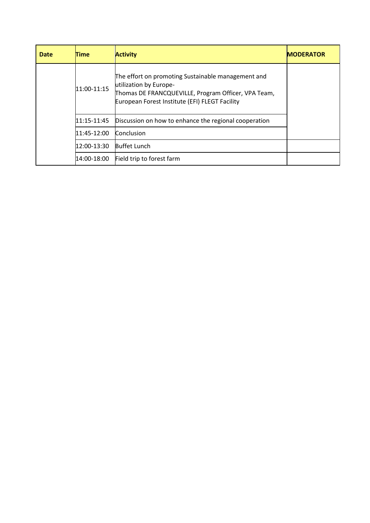| Date | Time        | <b>Activity</b>                                                                                                                                                                       | <b>MODERATOR</b> |
|------|-------------|---------------------------------------------------------------------------------------------------------------------------------------------------------------------------------------|------------------|
|      | 11:00-11:15 | The effort on promoting Sustainable management and<br>utilization by Europe-<br>Thomas DE FRANCQUEVILLE, Program Officer, VPA Team,<br>European Forest Institute (EFI) FLEGT Facility |                  |
|      | 11:15-11:45 | Discussion on how to enhance the regional cooperation                                                                                                                                 |                  |
|      | 11:45-12:00 | Conclusion                                                                                                                                                                            |                  |
|      | 12:00-13:30 | <b>Buffet Lunch</b>                                                                                                                                                                   |                  |
|      | 14:00-18:00 | Field trip to forest farm                                                                                                                                                             |                  |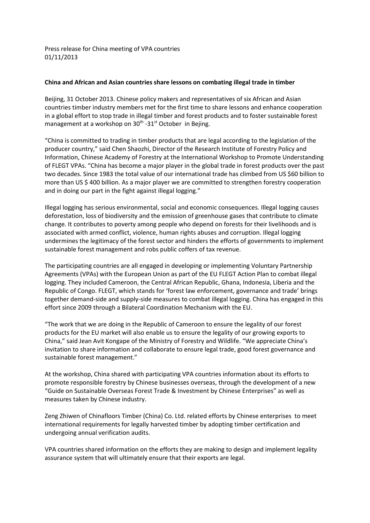Press release for China meeting of VPA countries 01/11/2013

### **China and African and Asian countries share lessons on combating illegal trade in timber**

Beijing, 31 October 2013. Chinese policy makers and representatives of six African and Asian countries timber industry members met for the first time to share lessons and enhance cooperation in a global effort to stop trade in illegal timber and forest products and to foster sustainable forest management at a workshop on 30<sup>th</sup> -31<sup>st</sup> October in Bejing.

"China is committed to trading in timber products that are legal according to the legislation of the producer country," said Chen Shaozhi, Director of the Research Institute of Forestry Policy and Information, Chinese Academy of Forestry at the International Workshop to Promote Understanding of FLEGT VPAs. "China has become a major player in the global trade in forest products over the past two decades. Since 1983 the total value of our international trade has climbed from US \$60 billion to more than US \$ 400 billion. As a major player we are committed to strengthen forestry cooperation and in doing our part in the fight against illegal logging."

Illegal logging has serious environmental, social and economic consequences. Illegal logging causes deforestation, loss of biodiversity and the emission of greenhouse gases that contribute to climate change. It contributes to poverty among people who depend on forests for their livelihoods and is associated with armed conflict, violence, human rights abuses and corruption. Illegal logging undermines the legitimacy of the forest sector and hinders the efforts of governments to implement sustainable forest management and robs public coffers of tax revenue.

The participating countries are all engaged in developing or implementing Voluntary Partnership Agreements (VPAs) with the European Union as part of the EU FLEGT Action Plan to combat illegal logging. They included Cameroon, the Central African Republic, Ghana, Indonesia, Liberia and the Republic of Congo. FLEGT, which stands for 'forest law enforcement, governance and trade' brings together demand-side and supply-side measures to combat illegal logging. China has engaged in this effort since 2009 through a Bilateral Coordination Mechanism with the EU.

"The work that we are doing in the Republic of Cameroon to ensure the legality of our forest products for the EU market will also enable us to ensure the legality of our growing exports to China," said Jean Avit Kongape of the Ministry of Forestry and Wildlife. "We appreciate China's invitation to share information and collaborate to ensure legal trade, good forest governance and sustainable forest management."

At the workshop, China shared with participating VPA countries information about its efforts to promote responsible forestry by Chinese businesses overseas, through the development of a new "Guide on Sustainable Overseas Forest Trade & Investment by Chinese Enterprises" as well as measures taken by Chinese industry.

Zeng Zhiwen of Chinafloors Timber (China) Co. Ltd. related efforts by Chinese enterprises to meet international requirements for legally harvested timber by adopting timber certification and undergoing annual verification audits.

VPA countries shared information on the efforts they are making to design and implement legality assurance system that will ultimately ensure that their exports are legal.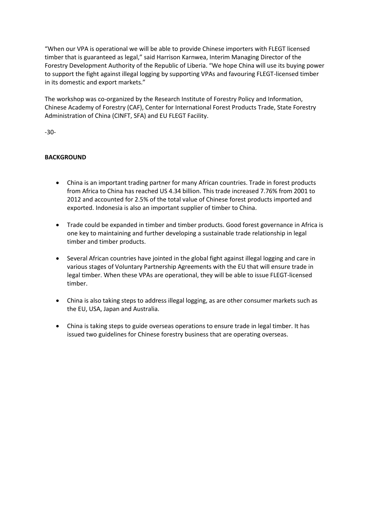"When our VPA is operational we will be able to provide Chinese importers with FLEGT licensed timber that is guaranteed as legal," said Harrison Karnwea, Interim Managing Director of the Forestry Development Authority of the Republic of Liberia. "We hope China will use its buying power to support the fight against illegal logging by supporting VPAs and favouring FLEGT-licensed timber in its domestic and export markets."

The workshop was co-organized by the Research Institute of Forestry Policy and Information, Chinese Academy of Forestry (CAF), Center for International Forest Products Trade, State Forestry Administration of China (CINFT, SFA) and EU FLEGT Facility.

-30-

# **BACKGROUND**

- China is an important trading partner for many African countries. Trade in forest products from Africa to China has reached US 4.34 billion. This trade increased 7.76% from 2001 to 2012 and accounted for 2.5% of the total value of Chinese forest products imported and exported. Indonesia is also an important supplier of timber to China.
- Trade could be expanded in timber and timber products. Good forest governance in Africa is one key to maintaining and further developing a sustainable trade relationship in legal timber and timber products.
- Several African countries have jointed in the global fight against illegal logging and care in various stages of Voluntary Partnership Agreements with the EU that will ensure trade in legal timber. When these VPAs are operational, they will be able to issue FLEGT-licensed timber.
- China is also taking steps to address illegal logging, as are other consumer markets such as the EU, USA, Japan and Australia.
- China is taking steps to guide overseas operations to ensure trade in legal timber. It has issued two guidelines for Chinese forestry business that are operating overseas.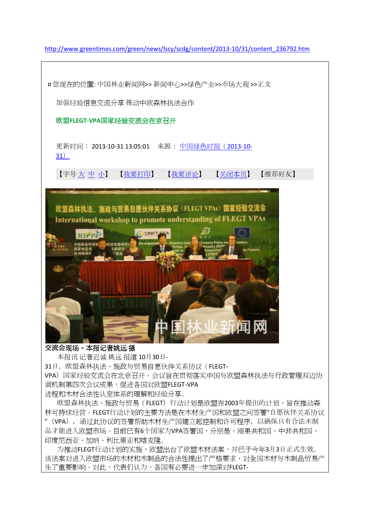[http://www.greentimes.com/green/news/lscy/scdg/content/2013-10/31/content\\_236792.htm](http://www.greentimes.com/green/news/lscy/scdg/content/2013-10/31/content_236792.htm)



品才能进入欧盟市场。目前已有6个国家为VPA签署国,分别是,刚果共和国、中非共和国、 印度尼西亚、加纳、利比里亚和喀麦隆。

为推动FLEGT行动计划的实施,欧盟出台了欧盟木材法案,并已于今年3月3日正式生效。 该法案对进入欧盟市场的木材和木制品的合法性提出了严格要求,对全国木材与木制品贸易产 生了重要影响。对此,代表们认为,各国有必要进一步加深对FLEGT-